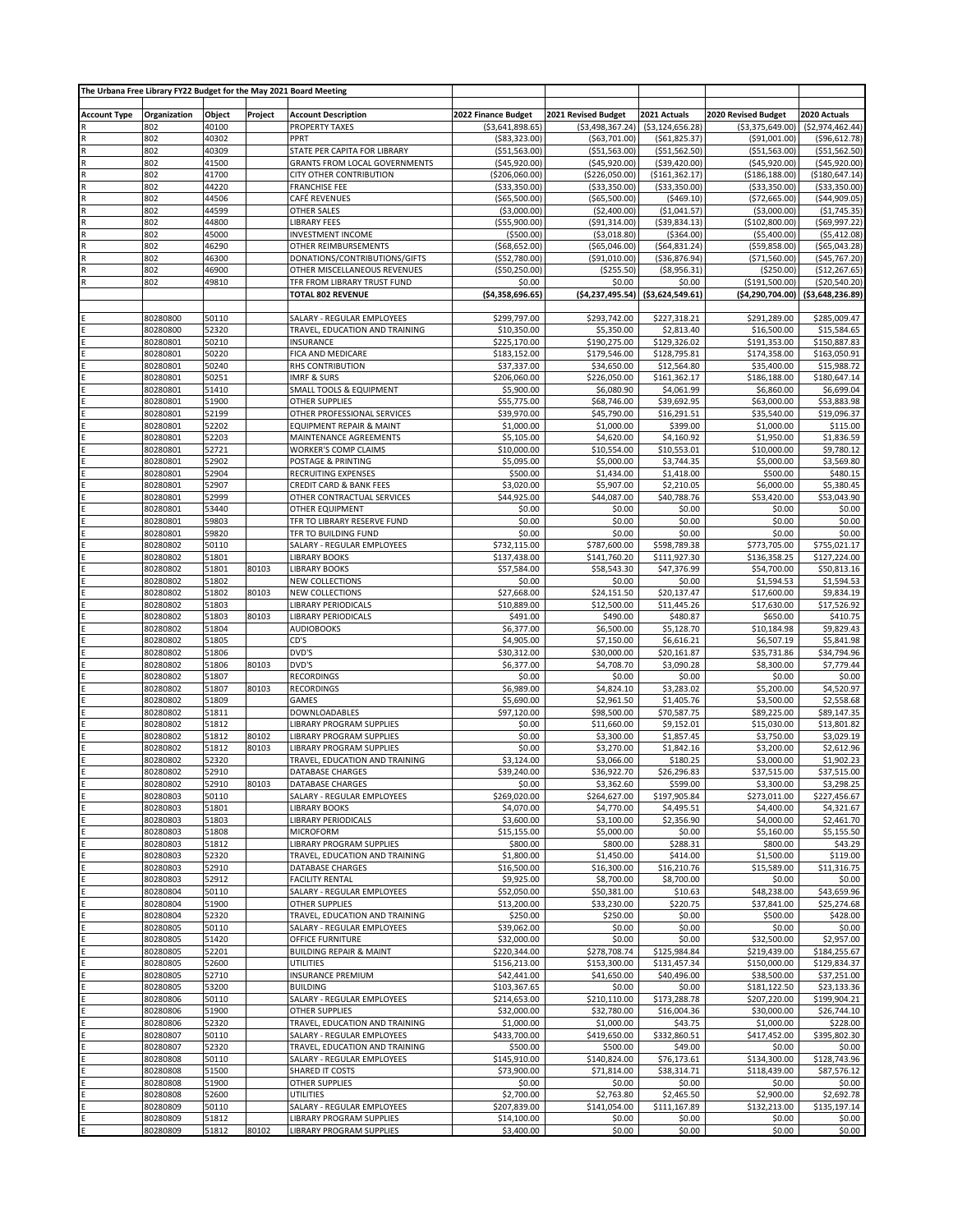| The Urbana Free Library FY22 Budget for the May 2021 Board Meeting |                      |                |         |                                                              |                                   |                                   |                                    |                                     |                                   |
|--------------------------------------------------------------------|----------------------|----------------|---------|--------------------------------------------------------------|-----------------------------------|-----------------------------------|------------------------------------|-------------------------------------|-----------------------------------|
| <b>Account Type</b>                                                |                      | Object         | Project | <b>Account Description</b>                                   | 2022 Finance Budget               | 2021 Revised Budget               | 2021 Actuals                       | 2020 Revised Budget                 | 2020 Actuals                      |
|                                                                    | Organization<br>802  | 40100          |         | PROPERTY TAXES                                               | ( \$3,641,898.65)                 | ( \$3,498,367.24)                 | ( \$3, 124, 656.28]                | ( \$3,375,649.00)                   | ( \$2,974,462.44)                 |
|                                                                    | 802                  | 40302          |         | PPRT                                                         | ( \$83, 323.00)                   | ( \$63,701.00)                    | ( \$61, 825.37)                    | ( \$91,001.00)                      | (\$96,612.78                      |
|                                                                    | 802                  | 40309          |         | STATE PER CAPITA FOR LIBRARY                                 | ( \$51, 563.00)                   | ( \$51, 563.00)                   | ( \$51, 562.50)                    | ( \$51, 563.00)                     | ( \$51, 562.50]                   |
|                                                                    | 802<br>802           | 41500<br>41700 |         | <b>GRANTS FROM LOCAL GOVERNMENTS</b>                         | ( \$45, 920.00)                   | ( \$45, 920.00]                   | ( \$39,420.00)                     | ( \$45, 920.00)                     | ( \$45, 920.00]                   |
| $\overline{R}$<br>R                                                | 802                  | 44220          |         | CITY OTHER CONTRIBUTION<br><b>FRANCHISE FEE</b>              | (\$206,060.00)<br>( \$33, 350.00) | (\$226,050.00)<br>( \$33, 350.00) | ( \$161, 362.17)<br>( \$33,350.00) | ( \$186, 188.00)<br>( \$33, 350.00) | (\$180,647.14<br>( \$33,350.00)   |
| $\overline{\mathsf{R}}$                                            | 802                  | 44506          |         | CAFÉ REVENUES                                                | ( \$65,500.00)                    | ( \$65,500.00)                    | ( \$469.10)                        | (\$72,665.00)                       | ( \$44, 909.05)                   |
| R                                                                  | 802                  | 44599          |         | OTHER SALES                                                  | ( \$3,000.00)                     | (\$2,400.00)                      | ( \$1,041.57)                      | ( \$3,000.00)                       | ( \$1,745.35)                     |
|                                                                    | 802                  | 44800          |         | <b>LIBRARY FEES</b>                                          | ( \$55, 900.00)                   | ( \$91, 314.00)                   | ( \$39, 834.13)                    | (\$102,800.00)                      | (\$69,997.22)                     |
| $\mathsf{R}$                                                       | 802<br>802           | 45000<br>46290 |         | <b>INVESTMENT INCOME</b><br>OTHER REIMBURSEMENTS             | ( \$500.00)                       | ( \$3,018.80)<br>( \$65,046.00)   | ( \$364.00)                        | ( \$5,400.00)                       | ( \$5,412.08)                     |
|                                                                    | 802                  | 46300          |         | DONATIONS/CONTRIBUTIONS/GIFTS                                | ( \$68, 652.00)<br>( \$52,780.00) | ( \$91,010.00)                    | ( \$64, 831.24)<br>( \$36, 876.94) | ( \$59, 858.00)<br>(\$71,560.00)    | ( \$65,043.28]<br>(\$45,767.20    |
| $\overline{\mathsf{R}}$                                            | 802                  | 46900          |         | OTHER MISCELLANEOUS REVENUES                                 | ( \$50, 250.00)                   | (\$255.50)                        | ( \$8,956.31]                      | ( \$250.00)                         | (\$12,267.65)                     |
|                                                                    | 802                  | 49810          |         | TFR FROM LIBRARY TRUST FUND                                  | \$0.00                            | \$0.00                            | \$0.00                             | (\$191,500.00)                      | (\$20.540.20)                     |
|                                                                    |                      |                |         | <b>TOTAL 802 REVENUE</b>                                     | ( \$4,358,696.65)                 | ( \$4,237,495.54)                 | ( \$3,624,549.61)                  |                                     | (\$4,290,704.00) (\$3,648,236.89) |
|                                                                    |                      |                |         |                                                              |                                   |                                   |                                    |                                     |                                   |
|                                                                    | 80280800<br>80280800 | 50110<br>52320 |         | SALARY - REGULAR EMPLOYEES<br>TRAVEL, EDUCATION AND TRAINING | \$299,797.00<br>\$10,350.00       | \$293,742.00<br>\$5,350.00        | \$227,318.21<br>\$2,813.40         | \$291,289.00<br>\$16,500.00         | \$285,009.47<br>\$15,584.65       |
|                                                                    | 80280801             | 50210          |         | <b>INSURANCE</b>                                             | \$225,170.00                      | \$190,275.00                      | \$129,326.02                       | \$191,353.00                        | \$150,887.83                      |
|                                                                    | 80280801             | 50220          |         | FICA AND MEDICARE                                            | \$183,152.00                      | \$179,546.00                      | \$128,795.81                       | \$174,358.00                        | \$163,050.91                      |
|                                                                    | 80280801             | 50240          |         | RHS CONTRIBUTION                                             | \$37,337.00                       | \$34,650.00                       | \$12,564.80                        | \$35,400.00                         | \$15,988.72                       |
|                                                                    | 80280801             | 50251          |         | <b>IMRF &amp; SURS</b>                                       | \$206,060.00                      | \$226,050.00                      | \$161,362.17                       | \$186,188.00                        | \$180,647.14                      |
|                                                                    | 80280801             | 51410          |         | SMALL TOOLS & EQUIPMENT                                      | \$5,900.00                        | \$6,080.90                        | \$4,061.99                         | \$6,860.00                          | \$6,699.04                        |
|                                                                    | 80280801<br>80280801 | 51900<br>52199 |         | <b>OTHER SUPPLIES</b><br>OTHER PROFESSIONAL SERVICES         | \$55,775.00<br>\$39,970.00        | \$68,746.00<br>\$45,790.00        | \$39,692.95<br>\$16,291.51         | \$63,000.00<br>\$35,540.00          | \$53,883.98<br>\$19,096.37        |
|                                                                    | 80280801             | 52202          |         | EQUIPMENT REPAIR & MAINT                                     | \$1,000.00                        | \$1,000.00                        | \$399.00                           | \$1,000.00                          | \$115.00                          |
|                                                                    | 80280801             | 52203          |         | MAINTENANCE AGREEMENTS                                       | \$5,105.00                        | \$4,620.00                        | \$4,160.92                         | \$1,950.00                          | \$1,836.59                        |
|                                                                    | 80280801             | 52721          |         | <b>WORKER'S COMP CLAIMS</b>                                  | \$10,000.00                       | \$10,554.00                       | \$10,553.01                        | \$10,000.00                         | \$9,780.12                        |
|                                                                    | 80280801             | 52902          |         | POSTAGE & PRINTING                                           | \$5,095.00                        | \$5,000.00                        | \$3,744.35                         | \$5,000.00                          | \$3,569.80                        |
|                                                                    | 80280801             | 52904          |         | RECRUITING EXPENSES                                          | \$500.00                          | \$1,434.00                        | \$1,418.00<br>\$2,210.05           | \$500.00                            | \$480.15                          |
|                                                                    | 80280801<br>80280801 | 52907<br>52999 |         | CREDIT CARD & BANK FEES<br>OTHER CONTRACTUAL SERVICES        | \$3,020.00<br>\$44,925.00         | \$5,907.00<br>\$44,087.00         | \$40,788.76                        | \$6,000.00<br>\$53,420.00           | \$5,380.45<br>\$53,043.90         |
|                                                                    | 80280801             | 53440          |         | OTHER EQUIPMENT                                              | \$0.00                            | \$0.00                            | \$0.00                             | \$0.00                              | \$0.00                            |
|                                                                    | 80280801             | 59803          |         | TFR TO LIBRARY RESERVE FUND                                  | \$0.00                            | \$0.00                            | \$0.00                             | \$0.00                              | \$0.00                            |
|                                                                    | 80280801             | 59820          |         | TFR TO BUILDING FUND                                         | \$0.00                            | \$0.00                            | \$0.00                             | \$0.00                              | \$0.00                            |
|                                                                    | 80280802             | 50110          |         | SALARY - REGULAR EMPLOYEES                                   | \$732,115.00                      | \$787,600.00                      | \$598,789.38                       | \$773,705.00                        | \$755,021.17                      |
|                                                                    | 80280802<br>80280802 | 51801<br>51801 | 80103   | <b>LIBRARY BOOKS</b>                                         | \$137,438.00<br>\$57,584.00       | \$141,760.20<br>\$58,543.30       | \$111,927.30<br>\$47,376.99        | \$136,358.25<br>\$54,700.00         | \$127,224.00<br>\$50,813.16       |
|                                                                    | 80280802             | 51802          |         | <b>LIBRARY BOOKS</b><br><b>NEW COLLECTIONS</b>               | \$0.00                            | \$0.00                            | \$0.00                             | \$1,594.53                          | \$1,594.53                        |
|                                                                    | 80280802             | 51802          | 80103   | <b>NEW COLLECTIONS</b>                                       | \$27,668.00                       | \$24,151.50                       | \$20,137.47                        | \$17,600.00                         | \$9,834.19                        |
|                                                                    | 80280802             | 51803          |         | LIBRARY PERIODICALS                                          | \$10,889.00                       | \$12,500.00                       | \$11,445.26                        | \$17,630.00                         | \$17,526.92                       |
|                                                                    | 80280802             | 51803          | 80103   | LIBRARY PERIODICALS                                          | \$491.00                          | \$490.00                          | \$480.87                           | \$650.00                            | \$410.75                          |
|                                                                    | 80280802             | 51804          |         | <b>AUDIOBOOKS</b>                                            | \$6,377.00                        | \$6,500.00                        | \$5,128.70                         | \$10,184.98                         | \$9,829.43                        |
|                                                                    | 80280802<br>80280802 | 51805<br>51806 |         | CD'S<br>DVD'S                                                | \$4,905.00<br>\$30,312.00         | \$7,150.00<br>\$30,000.00         | \$6,616.21<br>\$20,161.87          | \$6,507.19<br>\$35,731.86           | \$5,841.98<br>\$34,794.96         |
|                                                                    | 80280802             | 51806          | 80103   | DVD'S                                                        | \$6,377.00                        | \$4,708.70                        | \$3,090.28                         | \$8,300.00                          | \$7,779.44                        |
|                                                                    | 80280802             | 51807          |         | <b>RECORDINGS</b>                                            | \$0.00                            | \$0.00                            | \$0.00                             | \$0.00                              | \$0.00                            |
|                                                                    | 80280802             | 51807          | 80103   | <b>RECORDINGS</b>                                            | \$6,989.00                        | \$4,824.10                        | \$3,283.02                         | \$5,200.00                          | \$4,520.97                        |
|                                                                    | 80280802             | 51809          |         | <b>GAMES</b>                                                 | \$5,690.00                        | \$2,961.50                        | \$1,405.76                         | \$3,500.00                          | \$2,558.68                        |
|                                                                    | 80280802<br>80280802 | 51811<br>51812 |         | DOWNLOADABLES<br>LIBRARY PROGRAM SUPPLIES                    | \$97,120.00<br>\$0.00             | \$98,500.00<br>\$11,660.00        | \$70,587.75                        | \$89,225.00                         | \$89,147.35<br>\$13,801.82        |
|                                                                    | 80280802             | 51812          | 80102   | LIBRARY PROGRAM SUPPLIES                                     | \$0.00                            | \$3,300.00                        | \$9,152.01<br>\$1,857.45           | \$15,030.00<br>\$3,750.00           | \$3,029.19                        |
|                                                                    | 80280802             | 51812          | 80103   | LIBRARY PROGRAM SUPPLIES                                     | \$0.00                            | \$3,270.00                        | \$1,842.16                         | \$3,200.00                          | \$2,612.96                        |
|                                                                    | 80280802             | 52320          |         | TRAVEL, EDUCATION AND TRAINING                               | \$3,124.00                        | \$3,066.00                        | \$180.25                           | \$3,000.00                          | \$1,902.23                        |
|                                                                    | 80280802             | 52910          |         | <b>DATABASE CHARGES</b>                                      | \$39,240.00                       | \$36,922.70                       | \$26,296.83                        | \$37,515.00                         | \$37,515.00                       |
|                                                                    | 80280802             | 52910          | 80103   | DATABASE CHARGES                                             | \$0.00                            | \$3,362.60                        | \$599.00                           | \$3,300.00                          | \$3,298.25                        |
|                                                                    | 80280803<br>80280803 | 50110<br>51801 |         | SALARY - REGULAR EMPLOYEES<br><b>LIBRARY BOOKS</b>           | \$269,020.00<br>\$4,070.00        | \$264,627.00<br>\$4,770.00        | \$197,905.84<br>\$4,495.51         | \$273,011.00<br>\$4,400.00          | \$227,456.67<br>\$4,321.67        |
|                                                                    | 80280803             | 51803          |         | <b>LIBRARY PERIODICALS</b>                                   | \$3,600.00                        | \$3,100.00                        | \$2,356.90                         | \$4,000.00                          | \$2,461.70                        |
|                                                                    | 80280803             | 51808          |         | <b>MICROFORM</b>                                             | \$15,155.00                       | \$5,000.00                        | \$0.00                             | \$5,160.00                          | \$5,155.50                        |
|                                                                    | 80280803             | 51812          |         | LIBRARY PROGRAM SUPPLIES                                     | \$800.00                          | \$800.00                          | \$288.31                           | \$800.00                            | \$43.29                           |
|                                                                    | 80280803             | 52320          |         | TRAVEL, EDUCATION AND TRAINING                               | \$1,800.00                        | \$1,450.00                        | \$414.00                           | \$1,500.00                          | \$119.00                          |
|                                                                    | 80280803<br>80280803 | 52910<br>52912 |         | DATABASE CHARGES<br><b>FACILITY RENTAL</b>                   | \$16,500.00<br>\$9,925.00         | \$16,300.00<br>\$8,700.00         | \$16,210.76<br>\$8,700.00          | \$15,589.00<br>\$0.00               | \$11,316.75<br>\$0.00             |
|                                                                    | 80280804             | 50110          |         | SALARY - REGULAR EMPLOYEES                                   | \$52,050.00                       | \$50,381.00                       | \$10.63                            | \$48,238.00                         | \$43,659.96                       |
|                                                                    | 80280804             | 51900          |         | OTHER SUPPLIES                                               | \$13,200.00                       | \$33,230.00                       | \$220.75                           | \$37,841.00                         | \$25,274.68                       |
|                                                                    | 80280804             | 52320          |         | TRAVEL, EDUCATION AND TRAINING                               | \$250.00                          | \$250.00                          | \$0.00                             | \$500.00                            | \$428.00                          |
|                                                                    | 80280805             | 50110          |         | SALARY - REGULAR EMPLOYEES                                   | \$39,062.00                       | \$0.00                            | \$0.00                             | \$0.00                              | \$0.00                            |
|                                                                    | 80280805<br>80280805 | 51420<br>52201 |         | OFFICE FURNITURE<br><b>BUILDING REPAIR &amp; MAINT</b>       | \$32,000.00<br>\$220,344.00       | \$0.00<br>\$278,708.74            | \$0.00<br>\$125,984.84             | \$32,500.00<br>\$219,439.00         | \$2,957.00<br>\$184,255.67        |
|                                                                    | 80280805             | 52600          |         | UTILITIES                                                    | \$156,213.00                      | \$153,300.00                      | \$131,457.34                       | \$150,000.00                        | \$129,834.37                      |
|                                                                    | 80280805             | 52710          |         | <b>INSURANCE PREMIUM</b>                                     | \$42,441.00                       | \$41,650.00                       | \$40,496.00                        | \$38,500.00                         | \$37,251.00                       |
|                                                                    | 80280805             | 53200          |         | <b>BUILDING</b>                                              | \$103,367.65                      | \$0.00                            | \$0.00                             | \$181,122.50                        | \$23,133.36                       |
|                                                                    | 80280806             | 50110          |         | SALARY - REGULAR EMPLOYEES                                   | \$214,653.00                      | \$210,110.00                      | \$173,288.78                       | \$207,220.00                        | \$199,904.21                      |
|                                                                    | 80280806             | 51900          |         | OTHER SUPPLIES                                               | \$32,000.00                       | \$32,780.00                       | \$16,004.36                        | \$30,000.00                         | \$26,744.10                       |
|                                                                    | 80280806<br>80280807 | 52320<br>50110 |         | TRAVEL, EDUCATION AND TRAINING<br>SALARY - REGULAR EMPLOYEES | \$1,000.00<br>\$433,700.00        | \$1,000.00<br>\$419,650.00        | \$43.75<br>\$332,860.51            | \$1,000.00<br>\$417,452.00          | \$228.00<br>\$395,802.30          |
|                                                                    | 80280807             | 52320          |         | TRAVEL, EDUCATION AND TRAINING                               | \$500.00                          | \$500.00                          | \$49.00                            | \$0.00                              | \$0.00                            |
|                                                                    | 80280808             | 50110          |         | SALARY - REGULAR EMPLOYEES                                   | \$145,910.00                      | \$140,824.00                      | \$76,173.61                        | \$134,300.00                        | \$128,743.96                      |
|                                                                    | 80280808             | 51500          |         | SHARED IT COSTS                                              | \$73,900.00                       | \$71,814.00                       | \$38,314.71                        | \$118,439.00                        | \$87,576.12                       |
|                                                                    | 80280808             | 51900          |         | OTHER SUPPLIES                                               | \$0.00                            | \$0.00                            | \$0.00                             | \$0.00                              | \$0.00                            |
|                                                                    | 80280808<br>80280809 | 52600<br>50110 |         | UTILITIES<br>SALARY - REGULAR EMPLOYEES                      | \$2,700.00<br>\$207,839.00        | \$2,763.80<br>\$141,054.00        | \$2,465.50<br>\$111,167.89         | \$2,900.00<br>\$132,213.00          | \$2,692.78<br>\$135,197.14        |
|                                                                    | 80280809             | 51812          |         | LIBRARY PROGRAM SUPPLIES                                     | \$14,100.00                       | \$0.00                            | \$0.00                             | \$0.00                              | \$0.00                            |
|                                                                    | 80280809             | 51812          | 80102   | LIBRARY PROGRAM SUPPLIES                                     | \$3,400.00                        | \$0.00                            | \$0.00                             | \$0.00                              | \$0.00                            |